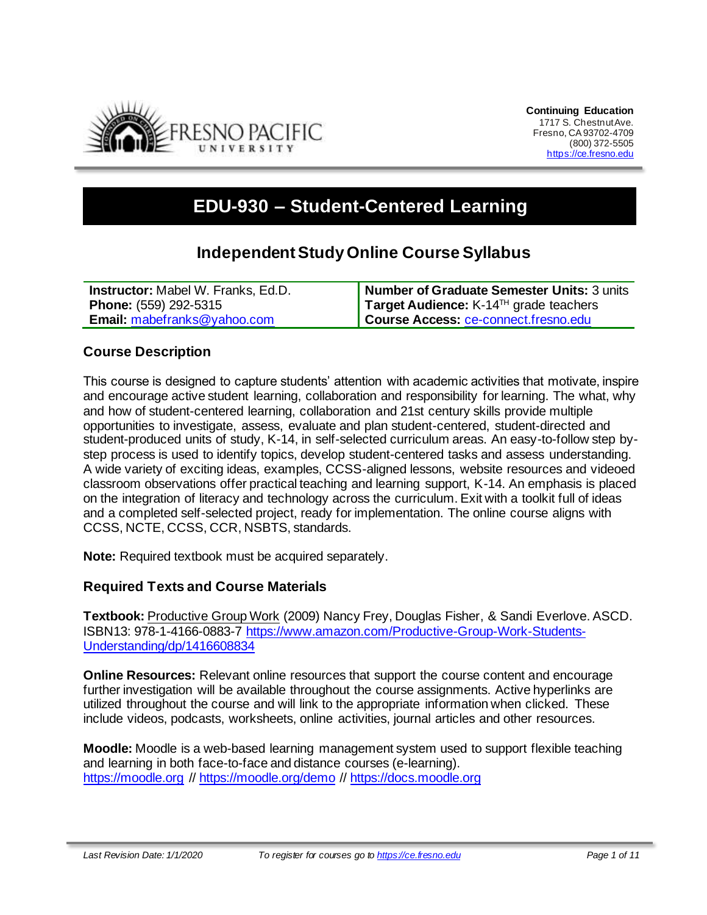

# **EDU-930 – Student-Centered Learning**

# **Independent StudyOnline Course Syllabus**

| <b>Instructor:</b> Mabel W. Franks, Ed.D. | Number of Graduate Semester Units: 3 units        |
|-------------------------------------------|---------------------------------------------------|
| <b>Phone:</b> (559) 292-5315              | Target Audience: K-14 <sup>™</sup> grade teachers |
| <b>Email:</b> mabefranks@yahoo.com        | Course Access: ce-connect.fresno.edu              |

#### **Course Description**

This course is designed to capture students' attention with academic activities that motivate, inspire and encourage active student learning, collaboration and responsibility for learning. The what, why and how of student-centered learning, collaboration and 21st century skills provide multiple opportunities to investigate, assess, evaluate and plan student-centered, student-directed and student-produced units of study, K-14, in self-selected curriculum areas. An easy-to-follow step bystep process is used to identify topics, develop student-centered tasks and assess understanding. A wide variety of exciting ideas, examples, CCSS-aligned lessons, website resources and videoed classroom observations offer practical teaching and learning support, K-14. An emphasis is placed on the integration of literacy and technology across the curriculum. Exit with a toolkit full of ideas and a completed self-selected project, ready for implementation. The online course aligns with CCSS, NCTE, CCSS, CCR, NSBTS, standards.

**Note:** Required textbook must be acquired separately.

#### **Required Texts and Course Materials**

**Textbook:** Productive Group Work (2009) Nancy Frey, Douglas Fisher, & Sandi Everlove. ASCD. ISBN13: 978-1-4166-0883-7 [https://www.amazon.com/Productive-Group-Work-Students-](https://www.amazon.com/Productive-Group-Work-Students-Understanding/dp/1416608834)[Understanding/dp/1416608834](https://www.amazon.com/Productive-Group-Work-Students-Understanding/dp/1416608834)

**Online Resources:** Relevant online resources that support the course content and encourage further investigation will be available throughout the course assignments. Active hyperlinks are utilized throughout the course and will link to the appropriate information when clicked. These include videos, podcasts, worksheets, online activities, journal articles and other resources.

**Moodle:** Moodle is a web-based learning management system used to support flexible teaching and learning in both face-to-face and distance courses (e-learning). [https://moodle.org](https://moodle.org/) // <https://moodle.org/demo> // [https://docs.moodle.org](https://docs.moodle.org/)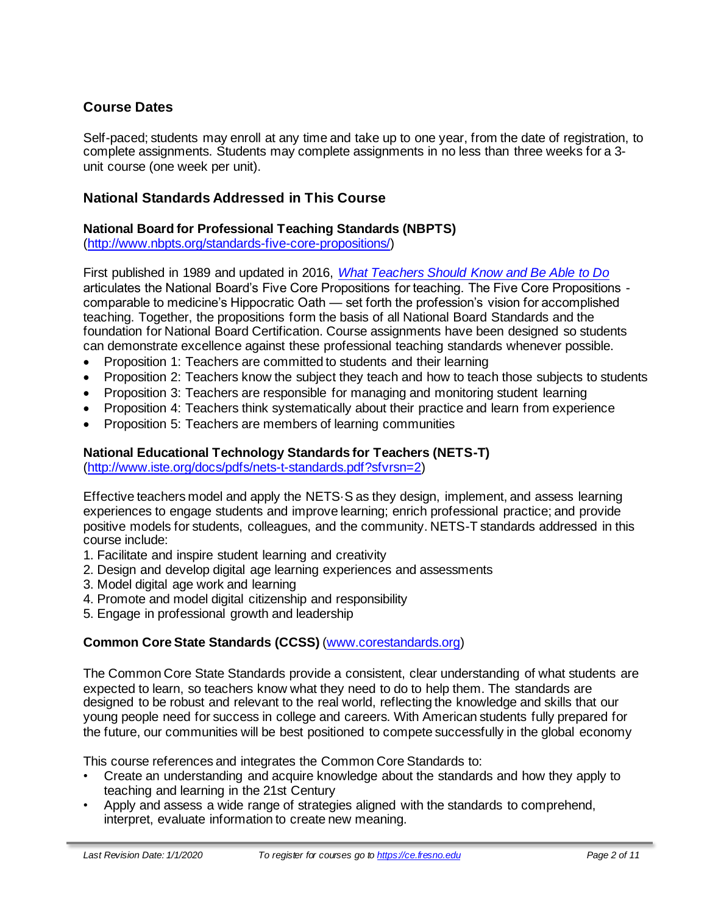# **Course Dates**

Self-paced; students may enroll at any time and take up to one year, from the date of registration, to complete assignments. Students may complete assignments in no less than three weeks for a 3 unit course (one week per unit).

### **National Standards Addressed in This Course**

#### **National Board for Professional Teaching Standards (NBPTS)**

[\(http://www.nbpts.org/standards-five-core-propositions/\)](http://www.nbpts.org/standards-five-core-propositions/)

First published in 1989 and updated in 2016, *[What Teachers Should Know and Be Able to Do](http://www.accomplishedteacher.org/)* articulates the National Board's Five Core Propositions for teaching. The Five Core Propositions comparable to medicine's Hippocratic Oath — set forth the profession's vision for accomplished teaching. Together, the propositions form the basis of all National Board Standards and the foundation for National Board Certification. Course assignments have been designed so students can demonstrate excellence against these professional teaching standards whenever possible.

- Proposition 1: Teachers are committed to students and their learning
- Proposition 2: Teachers know the subject they teach and how to teach those subjects to students
- Proposition 3: Teachers are responsible for managing and monitoring student learning
- Proposition 4: Teachers think systematically about their practice and learn from experience
- Proposition 5: Teachers are members of learning communities

#### **National Educational Technology Standards for Teachers (NETS-T)**

[\(http://www.iste.org/docs/pdfs/nets-t-standards.pdf?sfvrsn=2\)](http://www.iste.org/docs/pdfs/nets-t-standards.pdf?sfvrsn=2)

Effective teachers model and apply the NETS·S as they design, implement, and assess learning experiences to engage students and improve learning; enrich professional practice; and provide positive models for students, colleagues, and the community. NETS-T standards addressed in this course include:

- 1. Facilitate and inspire student learning and creativity
- 2. Design and develop digital age learning experiences and assessments
- 3. Model digital age work and learning
- 4. Promote and model digital citizenship and responsibility
- 5. Engage in professional growth and leadership

#### **Common Core State Standards (CCSS)** [\(www.corestandards.org\)](http://www.corestandards.org/)

The Common Core State Standards provide a consistent, clear understanding of what students are expected to learn, so teachers know what they need to do to help them. The standards are designed to be robust and relevant to the real world, reflecting the knowledge and skills that our young people need for success in college and careers. With American students fully prepared for the future, our communities will be best positioned to compete successfully in the global economy

This course references and integrates the Common Core Standards to:

- Create an understanding and acquire knowledge about the standards and how they apply to teaching and learning in the 21st Century
- Apply and assess a wide range of strategies aligned with the standards to comprehend, interpret, evaluate information to create new meaning.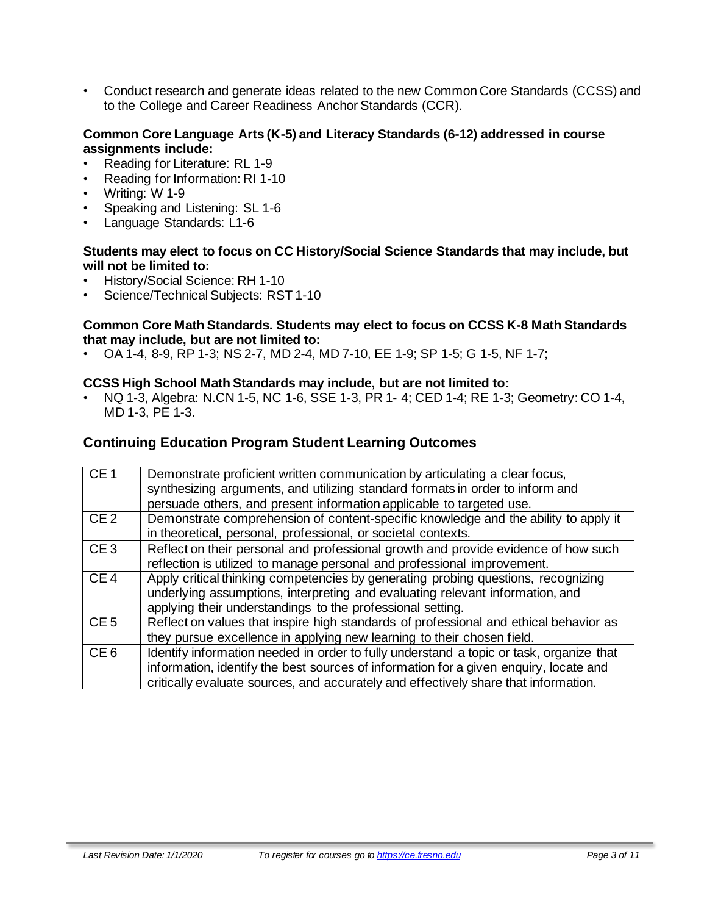• Conduct research and generate ideas related to the new Common Core Standards (CCSS) and to the College and Career Readiness Anchor Standards (CCR).

#### **Common Core Language Arts (K-5) and Literacy Standards (6-12) addressed in course assignments include:**

- Reading for Literature: RL 1-9
- Reading for Information: RI 1-10
- Writing: W 1-9
- Speaking and Listening: SL 1-6
- Language Standards: L1-6

#### **Students may elect to focus on CC History/Social Science Standards that may include, but will not be limited to:**

- History/Social Science: RH 1-10
- Science/Technical Subjects: RST 1-10

#### **Common Core Math Standards. Students may elect to focus on CCSS K-8 Math Standards that may include, but are not limited to:**

• OA 1-4, 8-9, RP 1-3; NS 2-7, MD 2-4, MD 7-10, EE 1-9; SP 1-5; G 1-5, NF 1-7;

#### **CCSS High School Math Standards may include, but are not limited to:**

• NQ 1-3, Algebra: N.CN 1-5, NC 1-6, SSE 1-3, PR 1- 4; CED 1-4; RE 1-3; Geometry: CO 1-4, MD 1-3, PE 1-3.

#### **Continuing Education Program Student Learning Outcomes**

| CE1             | Demonstrate proficient written communication by articulating a clear focus,<br>synthesizing arguments, and utilizing standard formats in order to inform and<br>persuade others, and present information applicable to targeted use.                                    |
|-----------------|-------------------------------------------------------------------------------------------------------------------------------------------------------------------------------------------------------------------------------------------------------------------------|
| CE <sub>2</sub> | Demonstrate comprehension of content-specific knowledge and the ability to apply it<br>in theoretical, personal, professional, or societal contexts.                                                                                                                    |
| CE <sub>3</sub> | Reflect on their personal and professional growth and provide evidence of how such<br>reflection is utilized to manage personal and professional improvement.                                                                                                           |
| CE4             | Apply critical thinking competencies by generating probing questions, recognizing<br>underlying assumptions, interpreting and evaluating relevant information, and<br>applying their understandings to the professional setting.                                        |
| CE <sub>5</sub> | Reflect on values that inspire high standards of professional and ethical behavior as<br>they pursue excellence in applying new learning to their chosen field.                                                                                                         |
| CE <sub>6</sub> | Identify information needed in order to fully understand a topic or task, organize that<br>information, identify the best sources of information for a given enquiry, locate and<br>critically evaluate sources, and accurately and effectively share that information. |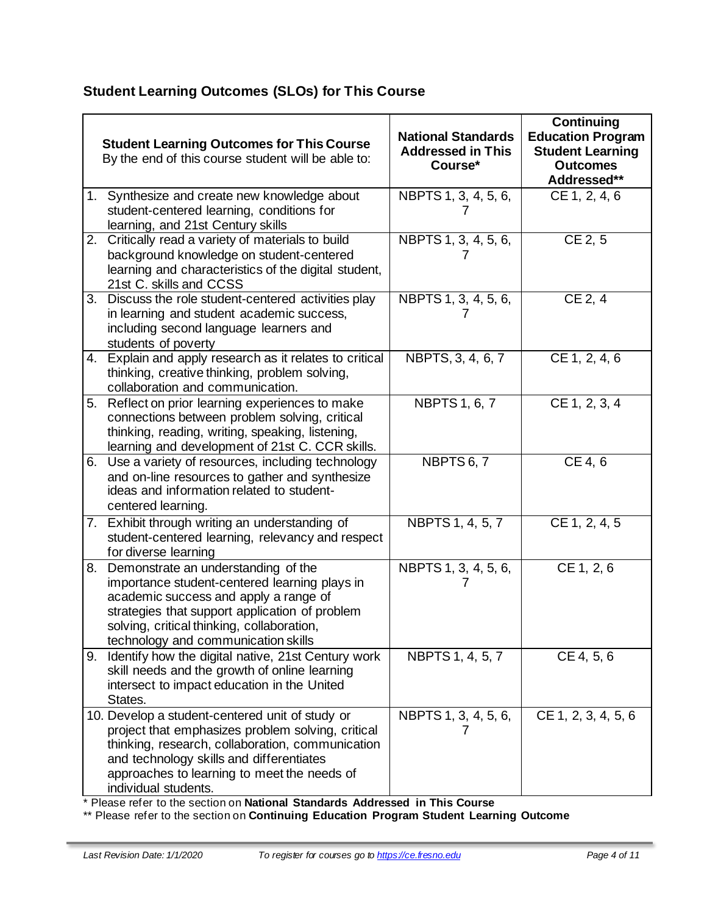# **Student Learning Outcomes (SLOs) for This Course**

|    | <b>Student Learning Outcomes for This Course</b><br>By the end of this course student will be able to:                                                                                                                                                                      | <b>National Standards</b><br><b>Addressed in This</b><br>Course* | <b>Continuing</b><br><b>Education Program</b><br><b>Student Learning</b><br><b>Outcomes</b><br>Addressed** |
|----|-----------------------------------------------------------------------------------------------------------------------------------------------------------------------------------------------------------------------------------------------------------------------------|------------------------------------------------------------------|------------------------------------------------------------------------------------------------------------|
|    | 1. Synthesize and create new knowledge about<br>student-centered learning, conditions for<br>learning, and 21st Century skills                                                                                                                                              | NBPTS 1, 3, 4, 5, 6,<br>$\prime$                                 | CE 1, 2, 4, 6                                                                                              |
|    | 2. Critically read a variety of materials to build<br>background knowledge on student-centered<br>learning and characteristics of the digital student,<br>21st C. skills and CCSS                                                                                           | NBPTS 1, 3, 4, 5, 6,                                             | $CE$ 2, 5                                                                                                  |
|    | 3. Discuss the role student-centered activities play<br>in learning and student academic success,<br>including second language learners and<br>students of poverty                                                                                                          | NBPTS 1, 3, 4, 5, 6,                                             | CE 2, 4                                                                                                    |
|    | 4. Explain and apply research as it relates to critical<br>thinking, creative thinking, problem solving,<br>collaboration and communication.                                                                                                                                | NBPTS, 3, 4, 6, 7                                                | CE 1, 2, 4, 6                                                                                              |
|    | 5. Reflect on prior learning experiences to make<br>connections between problem solving, critical<br>thinking, reading, writing, speaking, listening,<br>learning and development of 21st C. CCR skills.                                                                    | <b>NBPTS 1, 6, 7</b>                                             | CE 1, 2, 3, 4                                                                                              |
|    | 6. Use a variety of resources, including technology<br>and on-line resources to gather and synthesize<br>ideas and information related to student-<br>centered learning.                                                                                                    | NBPTS 6, 7                                                       | CE 4, 6                                                                                                    |
|    | 7. Exhibit through writing an understanding of<br>student-centered learning, relevancy and respect<br>for diverse learning                                                                                                                                                  | NBPTS 1, 4, 5, 7                                                 | CE 1, 2, 4, 5                                                                                              |
|    | 8. Demonstrate an understanding of the<br>importance student-centered learning plays in<br>academic success and apply a range of<br>strategies that support application of problem<br>solving, critical thinking, collaboration,<br>technology and communication skills     | NBPTS 1, 3, 4, 5, 6,                                             | CE 1, 2, 6                                                                                                 |
| 9. | Identify how the digital native, 21st Century work<br>skill needs and the growth of online learning<br>intersect to impact education in the United<br>States.                                                                                                               | NBPTS 1, 4, 5, 7                                                 | CE 4, 5, 6                                                                                                 |
|    | 10. Develop a student-centered unit of study or<br>project that emphasizes problem solving, critical<br>thinking, research, collaboration, communication<br>and technology skills and differentiates<br>approaches to learning to meet the needs of<br>individual students. | NBPTS 1, 3, 4, 5, 6,<br>$\prime$                                 | CE 1, 2, 3, 4, 5, 6                                                                                        |

\* Please refer to the section on **National Standards Addressed in This Course**

\*\* Please refer to the section on **Continuing Education Program Student Learning Outcome**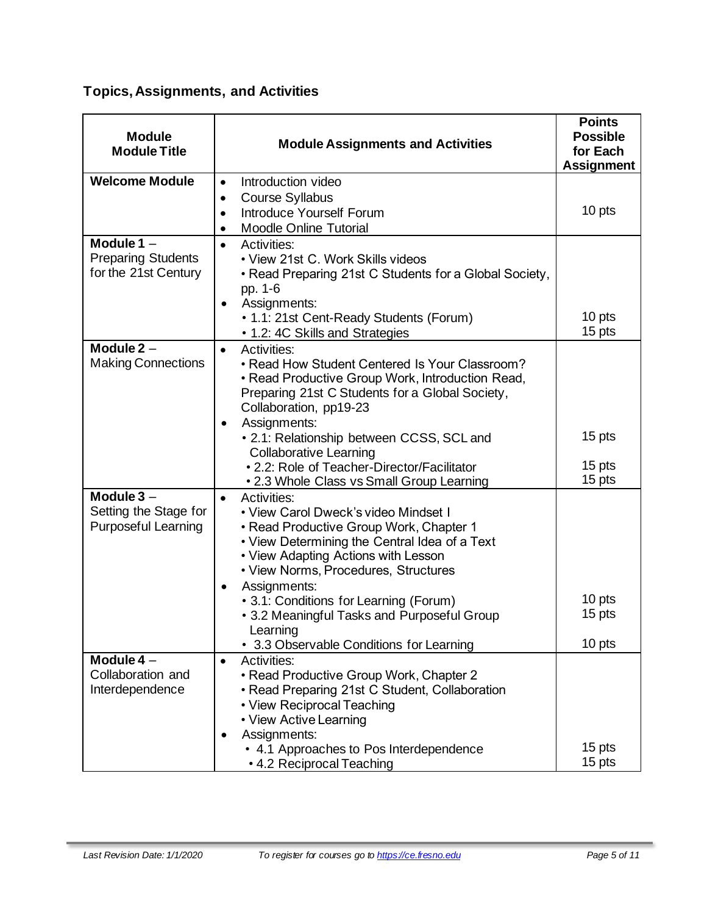# **Topics, Assignments, and Activities**

| <b>Module</b><br><b>Module Assignments and Activities</b><br><b>Module Title</b> |                                                                                                                                                                                                                                                                                                                                                                                                                          | <b>Points</b><br><b>Possible</b><br>for Each<br><b>Assignment</b> |
|----------------------------------------------------------------------------------|--------------------------------------------------------------------------------------------------------------------------------------------------------------------------------------------------------------------------------------------------------------------------------------------------------------------------------------------------------------------------------------------------------------------------|-------------------------------------------------------------------|
| <b>Welcome Module</b>                                                            | Introduction video<br>$\bullet$<br><b>Course Syllabus</b><br>$\bullet$<br>Introduce Yourself Forum<br>$\bullet$<br><b>Moodle Online Tutorial</b>                                                                                                                                                                                                                                                                         | 10 pts                                                            |
| Module $1 -$<br><b>Preparing Students</b><br>for the 21st Century                | Activities:<br>$\bullet$<br>• View 21st C. Work Skills videos<br>• Read Preparing 21st C Students for a Global Society,<br>pp. 1-6<br>Assignments:<br>• 1.1: 21st Cent-Ready Students (Forum)<br>• 1.2: 4C Skills and Strategies                                                                                                                                                                                         | 10 pts<br>15 pts                                                  |
| Module $2 -$<br><b>Making Connections</b>                                        | Activities:<br>$\bullet$<br>• Read How Student Centered Is Your Classroom?<br>• Read Productive Group Work, Introduction Read,<br>Preparing 21st C Students for a Global Society,<br>Collaboration, pp19-23<br>Assignments:<br>• 2.1: Relationship between CCSS, SCL and<br><b>Collaborative Learning</b><br>• 2.2: Role of Teacher-Director/Facilitator<br>. 2.3 Whole Class vs Small Group Learning                    | 15 pts<br>15 pts<br>15 pts                                        |
| Module $3 -$<br>Setting the Stage for<br><b>Purposeful Learning</b>              | <b>Activities:</b><br>$\bullet$<br>• View Carol Dweck's video Mindset I<br>• Read Productive Group Work, Chapter 1<br>• View Determining the Central Idea of a Text<br>• View Adapting Actions with Lesson<br>• View Norms, Procedures, Structures<br>Assignments:<br>٠<br>• 3.1: Conditions for Learning (Forum)<br>• 3.2 Meaningful Tasks and Purposeful Group<br>Learning<br>• 3.3 Observable Conditions for Learning | 10 pts<br>15 pts<br>10 pts                                        |
| Module $4-$<br>Collaboration and<br>Interdependence                              | <b>Activities:</b><br>$\bullet$<br>• Read Productive Group Work, Chapter 2<br>• Read Preparing 21st C Student, Collaboration<br>• View Reciprocal Teaching<br>• View Active Learning<br>Assignments:<br>• 4.1 Approaches to Pos Interdependence<br>• 4.2 Reciprocal Teaching                                                                                                                                             | 15 pts<br>15 pts                                                  |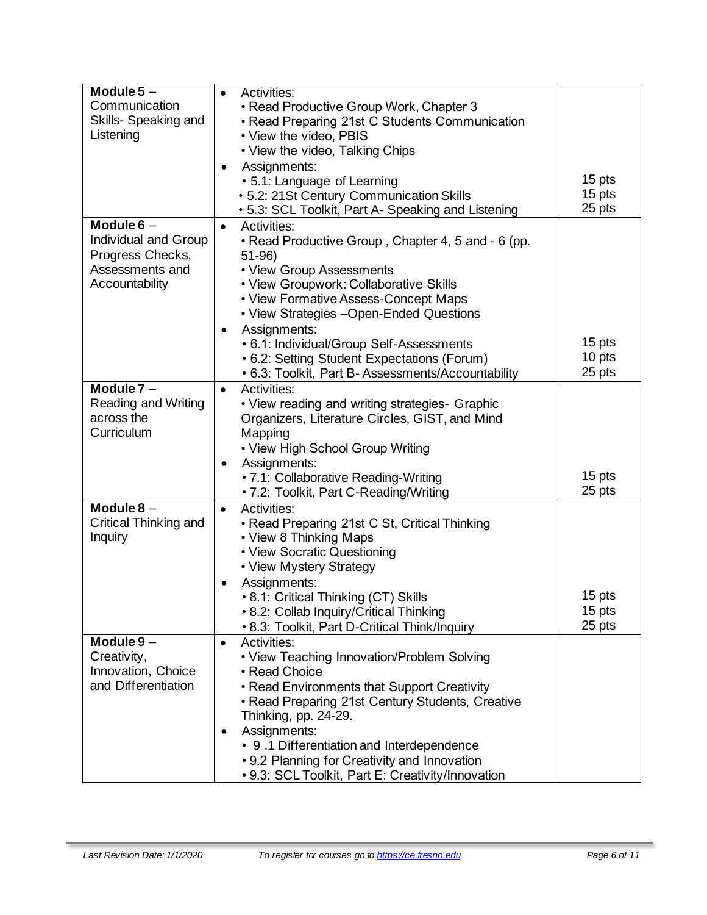| Module $5-$<br>Communication             | <b>Activities:</b><br>$\bullet$<br>• Read Productive Group Work, Chapter 3               |                  |
|------------------------------------------|------------------------------------------------------------------------------------------|------------------|
| Skills- Speaking and<br>Listening        | • Read Preparing 21st C Students Communication<br>• View the video, PBIS                 |                  |
|                                          | • View the video, Talking Chips<br>Assignments:                                          |                  |
|                                          | • 5.1: Language of Learning                                                              | 15 pts           |
|                                          | • 5.2: 21St Century Communication Skills                                                 | 15 pts           |
| Module $6 -$                             | • 5.3: SCL Toolkit, Part A- Speaking and Listening<br>Activities:<br>$\bullet$           | 25 pts           |
| Individual and Group<br>Progress Checks, | • Read Productive Group, Chapter 4, 5 and - 6 (pp.<br>$51-96$                            |                  |
| Assessments and                          | • View Group Assessments                                                                 |                  |
| Accountability                           | • View Groupwork: Collaborative Skills                                                   |                  |
|                                          | • View Formative Assess-Concept Maps                                                     |                  |
|                                          | • View Strategies - Open-Ended Questions                                                 |                  |
|                                          | Assignments:<br>• 6.1: Individual/Group Self-Assessments                                 | 15 pts           |
|                                          | • 6.2: Setting Student Expectations (Forum)                                              | 10 pts           |
|                                          | • 6.3: Toolkit, Part B-Assessments/Accountability                                        | 25 pts           |
| Module $7 -$                             | <b>Activities:</b><br>$\bullet$                                                          |                  |
| Reading and Writing                      | • View reading and writing strategies- Graphic                                           |                  |
| across the                               | Organizers, Literature Circles, GIST, and Mind                                           |                  |
| Curriculum                               | Mapping                                                                                  |                  |
|                                          | • View High School Group Writing                                                         |                  |
|                                          | Assignments:                                                                             | 15 pts           |
|                                          | • 7.1: Collaborative Reading-Writing<br>• 7.2: Toolkit, Part C-Reading/Writing           | 25 pts           |
| Module $8-$                              | Activities:<br>$\bullet$                                                                 |                  |
| Critical Thinking and                    | • Read Preparing 21st C St, Critical Thinking                                            |                  |
| Inquiry                                  | • View 8 Thinking Maps                                                                   |                  |
|                                          | • View Socratic Questioning                                                              |                  |
|                                          | • View Mystery Strategy                                                                  |                  |
|                                          | Assignments:                                                                             |                  |
|                                          | • 8.1: Critical Thinking (CT) Skills                                                     | 15 pts<br>15 pts |
|                                          | • 8.2: Collab Inquiry/Critical Thinking<br>• 8.3: Toolkit, Part D-Critical Think/Inquiry | 25 pts           |
| Module 9 -                               | <b>Activities:</b><br>$\bullet$                                                          |                  |
| Creativity,                              | • View Teaching Innovation/Problem Solving                                               |                  |
| Innovation, Choice                       | • Read Choice                                                                            |                  |
| and Differentiation                      | • Read Environments that Support Creativity                                              |                  |
|                                          | • Read Preparing 21st Century Students, Creative                                         |                  |
|                                          | Thinking, pp. 24-29.                                                                     |                  |
|                                          | Assignments:<br>$\bullet$<br>• 9.1 Differentiation and Interdependence                   |                  |
|                                          | • 9.2 Planning for Creativity and Innovation                                             |                  |
|                                          | • 9.3: SCL Toolkit, Part E: Creativity/Innovation                                        |                  |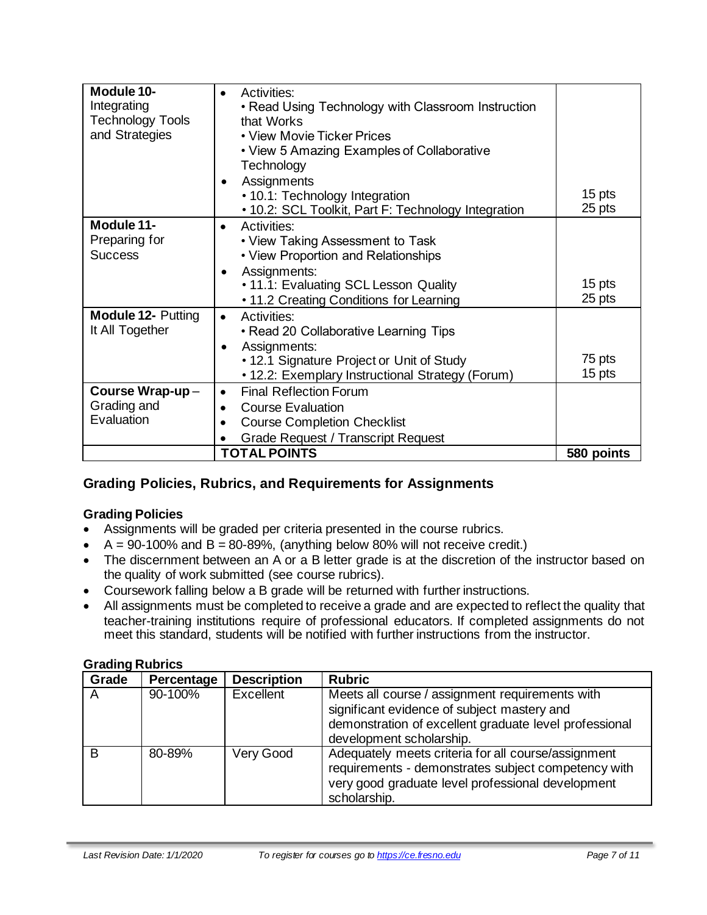| Module 10-<br>Integrating<br><b>Technology Tools</b><br>and Strategies | Activities:<br>$\bullet$<br>• Read Using Technology with Classroom Instruction<br>that Works<br>• View Movie Ticker Prices<br>• View 5 Amazing Examples of Collaborative<br>Technology                               |                  |
|------------------------------------------------------------------------|----------------------------------------------------------------------------------------------------------------------------------------------------------------------------------------------------------------------|------------------|
|                                                                        | Assignments<br>• 10.1: Technology Integration<br>• 10.2: SCL Toolkit, Part F: Technology Integration                                                                                                                 | 15 pts<br>25 pts |
| Module 11-<br>Preparing for<br><b>Success</b>                          | Activities:<br>$\bullet$<br>• View Taking Assessment to Task<br>• View Proportion and Relationships<br>Assignments:<br>$\bullet$<br>• 11.1: Evaluating SCL Lesson Quality<br>• 11.2 Creating Conditions for Learning | 15 pts<br>25 pts |
| <b>Module 12- Putting</b><br>It All Together                           | Activities:<br>$\bullet$<br>• Read 20 Collaborative Learning Tips<br>Assignments:<br>• 12.1 Signature Project or Unit of Study<br>• 12.2: Exemplary Instructional Strategy (Forum)                                   | 75 pts<br>15 pts |
| Course Wrap-up-<br>Grading and<br>Evaluation                           | <b>Final Reflection Forum</b><br><b>Course Evaluation</b><br>$\bullet$<br><b>Course Completion Checklist</b><br><b>Grade Request / Transcript Request</b>                                                            |                  |
|                                                                        | <b>TOTAL POINTS</b>                                                                                                                                                                                                  | 580 points       |

# **Grading Policies, Rubrics, and Requirements for Assignments**

#### **Grading Policies**

- Assignments will be graded per criteria presented in the course rubrics.
- $A = 90-100\%$  and  $B = 80-89\%$ , (anything below 80% will not receive credit.)
- The discernment between an A or a B letter grade is at the discretion of the instructor based on the quality of work submitted (see course rubrics).
- Coursework falling below a B grade will be returned with further instructions.
- All assignments must be completed to receive a grade and are expected to reflect the quality that teacher-training institutions require of professional educators. If completed assignments do not meet this standard, students will be notified with further instructions from the instructor.

#### **Grading Rubrics**

| Grade | Percentage | <b>Description</b> | <b>Rubric</b>                                                                                                                                                                        |
|-------|------------|--------------------|--------------------------------------------------------------------------------------------------------------------------------------------------------------------------------------|
| A     | 90-100%    | Excellent          | Meets all course / assignment requirements with<br>significant evidence of subject mastery and<br>demonstration of excellent graduate level professional<br>development scholarship. |
| B     | 80-89%     | Very Good          | Adequately meets criteria for all course/assignment<br>requirements - demonstrates subject competency with<br>very good graduate level professional development<br>scholarship.      |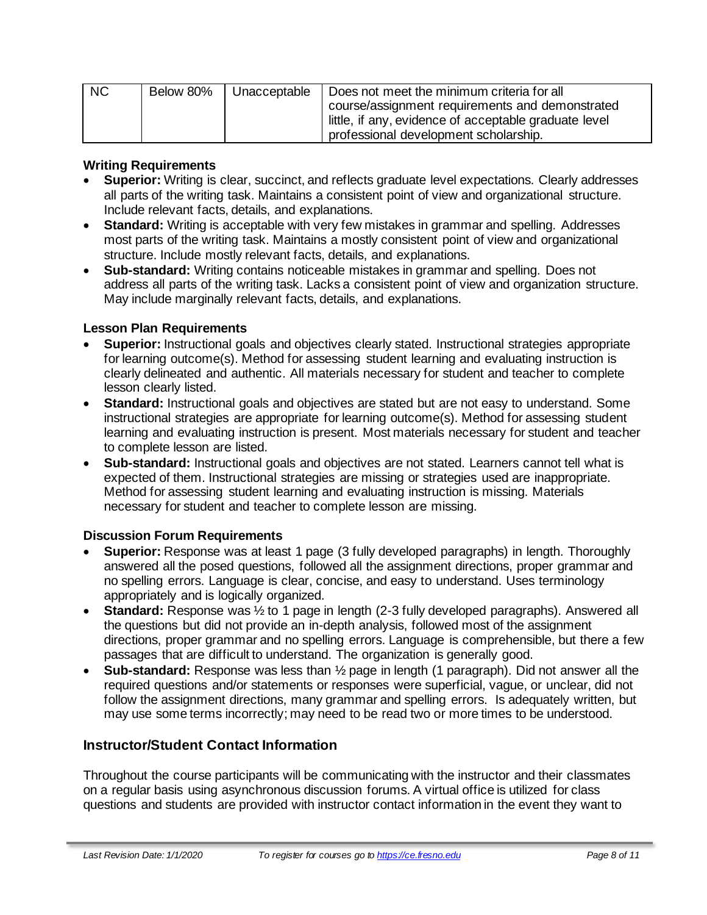| <b>NC</b> | Below 80% | Unacceptable | Does not meet the minimum criteria for all            |
|-----------|-----------|--------------|-------------------------------------------------------|
|           |           |              | course/assignment requirements and demonstrated       |
|           |           |              | little, if any, evidence of acceptable graduate level |
|           |           |              | professional development scholarship.                 |

#### **Writing Requirements**

- **Superior:** Writing is clear, succinct, and reflects graduate level expectations. Clearly addresses all parts of the writing task. Maintains a consistent point of view and organizational structure. Include relevant facts, details, and explanations.
- **Standard:** Writing is acceptable with very few mistakes in grammar and spelling. Addresses most parts of the writing task. Maintains a mostly consistent point of view and organizational structure. Include mostly relevant facts, details, and explanations.
- **Sub-standard:** Writing contains noticeable mistakes in grammar and spelling. Does not address all parts of the writing task. Lacks a consistent point of view and organization structure. May include marginally relevant facts, details, and explanations.

#### **Lesson Plan Requirements**

- **Superior:** Instructional goals and objectives clearly stated. Instructional strategies appropriate for learning outcome(s). Method for assessing student learning and evaluating instruction is clearly delineated and authentic. All materials necessary for student and teacher to complete lesson clearly listed.
- **Standard:** Instructional goals and objectives are stated but are not easy to understand. Some instructional strategies are appropriate for learning outcome(s). Method for assessing student learning and evaluating instruction is present. Most materials necessary for student and teacher to complete lesson are listed.
- **Sub-standard:** Instructional goals and objectives are not stated. Learners cannot tell what is expected of them. Instructional strategies are missing or strategies used are inappropriate. Method for assessing student learning and evaluating instruction is missing. Materials necessary for student and teacher to complete lesson are missing.

#### **Discussion Forum Requirements**

- **Superior:** Response was at least 1 page (3 fully developed paragraphs) in length. Thoroughly answered all the posed questions, followed all the assignment directions, proper grammar and no spelling errors. Language is clear, concise, and easy to understand. Uses terminology appropriately and is logically organized.
- **Standard:** Response was 1/2 to 1 page in length (2-3 fully developed paragraphs). Answered all the questions but did not provide an in-depth analysis, followed most of the assignment directions, proper grammar and no spelling errors. Language is comprehensible, but there a few passages that are difficult to understand. The organization is generally good.
- **Sub-standard:** Response was less than ½ page in length (1 paragraph). Did not answer all the required questions and/or statements or responses were superficial, vague, or unclear, did not follow the assignment directions, many grammar and spelling errors. Is adequately written, but may use some terms incorrectly; may need to be read two or more times to be understood.

#### **Instructor/Student Contact Information**

Throughout the course participants will be communicating with the instructor and their classmates on a regular basis using asynchronous discussion forums. A virtual office is utilized for class questions and students are provided with instructor contact information in the event they want to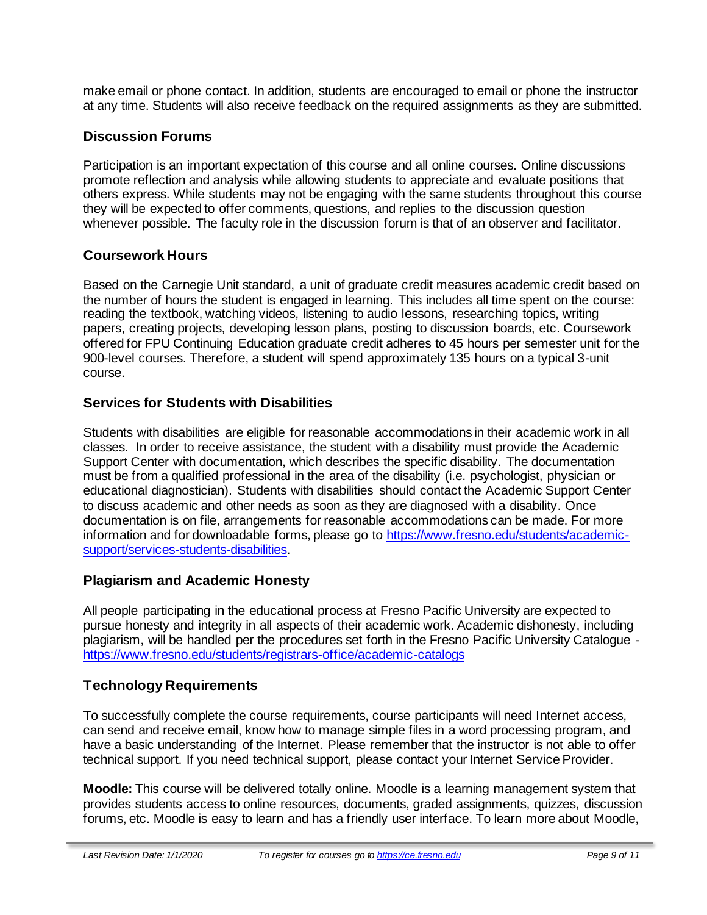make email or phone contact. In addition, students are encouraged to email or phone the instructor at any time. Students will also receive feedback on the required assignments as they are submitted.

## **Discussion Forums**

Participation is an important expectation of this course and all online courses. Online discussions promote reflection and analysis while allowing students to appreciate and evaluate positions that others express. While students may not be engaging with the same students throughout this course they will be expected to offer comments, questions, and replies to the discussion question whenever possible. The faculty role in the discussion forum is that of an observer and facilitator.

#### **Coursework Hours**

Based on the Carnegie Unit standard, a unit of graduate credit measures academic credit based on the number of hours the student is engaged in learning. This includes all time spent on the course: reading the textbook, watching videos, listening to audio lessons, researching topics, writing papers, creating projects, developing lesson plans, posting to discussion boards, etc. Coursework offered for FPU Continuing Education graduate credit adheres to 45 hours per semester unit for the 900-level courses. Therefore, a student will spend approximately 135 hours on a typical 3-unit course.

#### **Services for Students with Disabilities**

Students with disabilities are eligible for reasonable accommodations in their academic work in all classes. In order to receive assistance, the student with a disability must provide the Academic Support Center with documentation, which describes the specific disability. The documentation must be from a qualified professional in the area of the disability (i.e. psychologist, physician or educational diagnostician). Students with disabilities should contact the Academic Support Center to discuss academic and other needs as soon as they are diagnosed with a disability. Once documentation is on file, arrangements for reasonable accommodations can be made. For more information and for downloadable forms, please go to [https://www.fresno.edu/students/academic](https://www.fresno.edu/students/academic-support/services-students-disabilities)[support/services-students-disabilities.](https://www.fresno.edu/students/academic-support/services-students-disabilities) 

#### **Plagiarism and Academic Honesty**

All people participating in the educational process at Fresno Pacific University are expected to pursue honesty and integrity in all aspects of their academic work. Academic dishonesty, including plagiarism, will be handled per the procedures set forth in the Fresno Pacific University Catalogue <https://www.fresno.edu/students/registrars-office/academic-catalogs>

#### **Technology Requirements**

To successfully complete the course requirements, course participants will need Internet access, can send and receive email, know how to manage simple files in a word processing program, and have a basic understanding of the Internet. Please remember that the instructor is not able to offer technical support. If you need technical support, please contact your Internet Service Provider.

**Moodle:** This course will be delivered totally online. Moodle is a learning management system that provides students access to online resources, documents, graded assignments, quizzes, discussion forums, etc. Moodle is easy to learn and has a friendly user interface. To learn more about Moodle,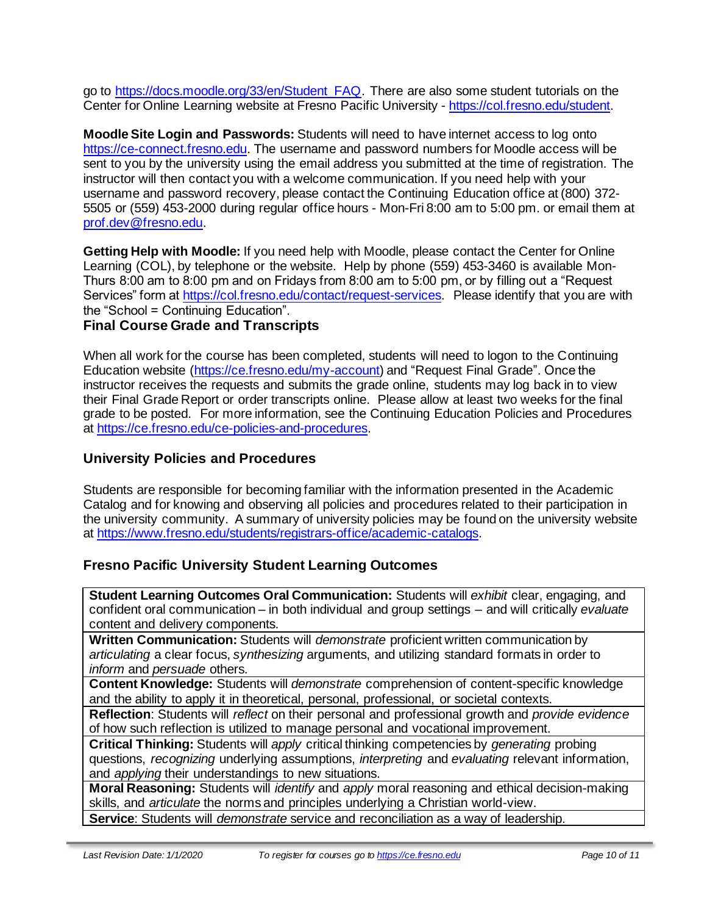go to [https://docs.moodle.org/33/en/Student\\_FAQ.](https://docs.moodle.org/33/en/Student_FAQ) There are also some student tutorials on the Center for Online Learning website at Fresno Pacific University - [https://col.fresno.edu/student.](https://col.fresno.edu/student)

**Moodle Site Login and Passwords:** Students will need to have internet access to log onto [https://ce-connect.fresno.edu.](https://ce-connect.fresno.edu/) The username and password numbers for Moodle access will be sent to you by the university using the email address you submitted at the time of registration. The instructor will then contact you with a welcome communication. If you need help with your username and password recovery, please contact the Continuing Education office at (800) 372- 5505 or (559) 453-2000 during regular office hours - Mon-Fri 8:00 am to 5:00 pm. or email them at [prof.dev@fresno.edu.](mailto:prof.dev@fresno.edu)

**Getting Help with Moodle:** If you need help with Moodle, please contact the Center for Online Learning (COL), by telephone or the website. Help by phone (559) 453-3460 is available Mon-Thurs 8:00 am to 8:00 pm and on Fridays from 8:00 am to 5:00 pm, or by filling out a "Request Services" form at [https://col.fresno.edu/contact/request-services.](https://col.fresno.edu/contact/request-services) Please identify that you are with the "School = Continuing Education".

#### **Final Course Grade and Transcripts**

When all work for the course has been completed, students will need to logon to the Continuing Education website [\(https://ce.fresno.edu/my-account\)](https://ce.fresno.edu/my-account) and "Request Final Grade". Once the instructor receives the requests and submits the grade online, students may log back in to view their Final Grade Report or order transcripts online. Please allow at least two weeks for the final grade to be posted. For more information, see the Continuing Education Policies and Procedures at [https://ce.fresno.edu/ce-policies-and-procedures.](https://ce.fresno.edu/ce-policies-and-procedures) 

### **University Policies and Procedures**

Students are responsible for becoming familiar with the information presented in the Academic Catalog and for knowing and observing all policies and procedures related to their participation in the university community. A summary of university policies may be found on the university website at [https://www.fresno.edu/students/registrars-office/academic-catalogs.](https://www.fresno.edu/students/registrars-office/academic-catalogs)

# **Fresno Pacific University Student Learning Outcomes**

**Student Learning Outcomes Oral Communication:** Students will *exhibit* clear, engaging, and confident oral communication – in both individual and group settings – and will critically *evaluate*  content and delivery components.

**Written Communication:** Students will *demonstrate* proficient written communication by *articulating* a clear focus, *synthesizing* arguments, and utilizing standard formats in order to *inform* and *persuade* others.

**Content Knowledge:** Students will *demonstrate* comprehension of content-specific knowledge and the ability to apply it in theoretical, personal, professional, or societal contexts.

**Reflection**: Students will *reflect* on their personal and professional growth and *provide evidence*  of how such reflection is utilized to manage personal and vocational improvement.

**Critical Thinking:** Students will *apply* critical thinking competencies by *generating* probing questions, *recognizing* underlying assumptions, *interpreting* and *evaluating* relevant information, and *applying* their understandings to new situations.

**Moral Reasoning:** Students will *identify* and *apply* moral reasoning and ethical decision-making skills, and *articulate* the norms and principles underlying a Christian world-view.

**Service**: Students will *demonstrate* service and reconciliation as a way of leadership.